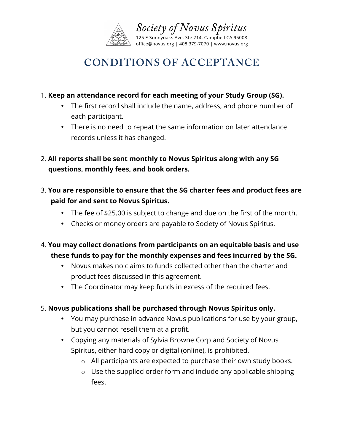

# **CONDITIONS OF ACCEPTANCE**

#### 1. **Keep an attendance record for each meeting of your Study Group (SG).**

- The first record shall include the name, address, and phone number of each participant.
- There is no need to repeat the same information on later attendance records unless it has changed.
- 2. **All reports shall be sent monthly to Novus Spiritus along with any SG questions, monthly fees, and book orders.**
- 3. **You are responsible to ensure that the SG charter fees and product fees are paid for and sent to Novus Spiritus.**
	- The fee of \$25.00 is subject to change and due on the first of the month.
	- Checks or money orders are payable to Society of Novus Spiritus.
- 4. **You may collect donations from participants on an equitable basis and use these funds to pay for the monthly expenses and fees incurred by the SG.**
	- Novus makes no claims to funds collected other than the charter and product fees discussed in this agreement.
	- The Coordinator may keep funds in excess of the required fees.

## 5. **Novus publications shall be purchased through Novus Spiritus only.**

- You may purchase in advance Novus publications for use by your group, but you cannot resell them at a profit.
- Copying any materials of Sylvia Browne Corp and Society of Novus Spiritus, either hard copy or digital (online), is prohibited.
	- o All participants are expected to purchase their own study books.
	- o Use the supplied order form and include any applicable shipping fees.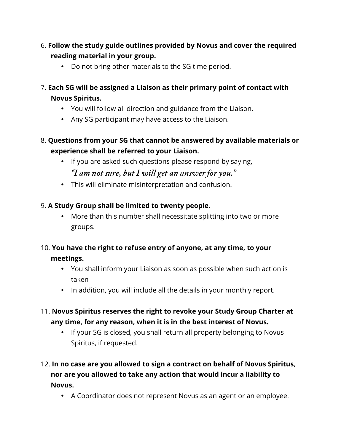- 6. **Follow the study guide outlines provided by Novus and cover the required reading material in your group.**
	- Do not bring other materials to the SG time period.
- 7. **Each SG will be assigned a Liaison as their primary point of contact with Novus Spiritus.**
	- You will follow all direction and guidance from the Liaison.
	- Any SG participant may have access to the Liaison.
- 8. **Questions from your SG that cannot be answered by available materials or experience shall be referred to your Liaison.** 
	- If you are asked such questions please respond by saying, *"I am not sure, but I will get an answer for you."*
	- This will eliminate misinterpretation and confusion.

## 9. **A Study Group shall be limited to twenty people.**

- More than this number shall necessitate splitting into two or more groups.
- 10. **You have the right to refuse entry of anyone, at any time, to your meetings.**
	- You shall inform your Liaison as soon as possible when such action is taken
	- In addition, you will include all the details in your monthly report.
- 11. **Novus Spiritus reserves the right to revoke your Study Group Charter at any time, for any reason, when it is in the best interest of Novus.**
	- If your SG is closed, you shall return all property belonging to Novus Spiritus, if requested.
- 12. **In no case are you allowed to sign a contract on behalf of Novus Spiritus, nor are you allowed to take any action that would incur a liability to Novus.**
	- A Coordinator does not represent Novus as an agent or an employee.